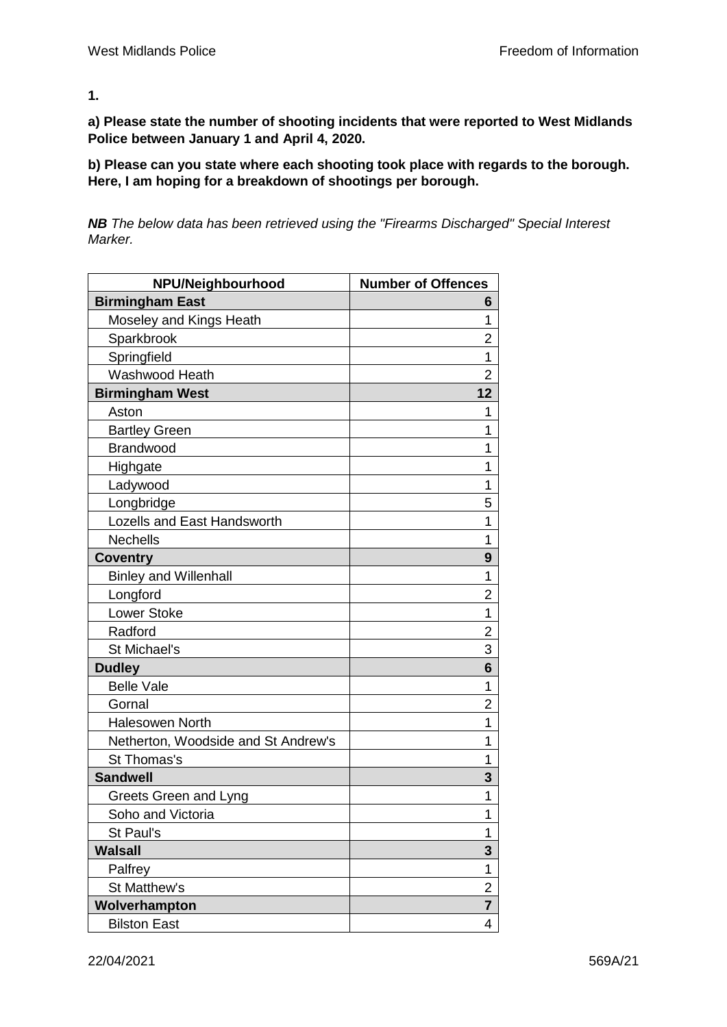**1.**

**a) Please state the number of shooting incidents that were reported to West Midlands Police between January 1 and April 4, 2020.**

**b) Please can you state where each shooting took place with regards to the borough. Here, I am hoping for a breakdown of shootings per borough.**

*NB The below data has been retrieved using the "Firearms Discharged" Special Interest Marker.*

| NPU/Neighbourhood                   | <b>Number of Offences</b> |
|-------------------------------------|---------------------------|
| <b>Birmingham East</b>              | 6                         |
| Moseley and Kings Heath             | 1                         |
| Sparkbrook                          | 2                         |
| Springfield                         | 1                         |
| Washwood Heath                      | 2                         |
| <b>Birmingham West</b>              | 12                        |
| Aston                               | 1                         |
| <b>Bartley Green</b>                | 1                         |
| Brandwood                           | 1                         |
| Highgate                            | 1                         |
| Ladywood                            | 1                         |
| Longbridge                          | 5                         |
| Lozells and East Handsworth         | 1                         |
| <b>Nechells</b>                     | 1                         |
| <b>Coventry</b>                     | 9                         |
| <b>Binley and Willenhall</b>        | 1                         |
| Longford                            | 2                         |
| <b>Lower Stoke</b>                  | 1                         |
| Radford                             | 2                         |
| St Michael's                        | 3                         |
| <b>Dudley</b>                       | 6                         |
| <b>Belle Vale</b>                   | 1                         |
| Gornal                              | 2                         |
| <b>Halesowen North</b>              | 1                         |
| Netherton, Woodside and St Andrew's | 1                         |
| St Thomas's                         | 1                         |
| <b>Sandwell</b>                     | 3                         |
| Greets Green and Lyng               | 1                         |
| Soho and Victoria                   | 1                         |
| St Paul's                           | 1                         |
| <b>Walsall</b>                      | 3                         |
| Palfrey                             | 1                         |
| St Matthew's                        | $\overline{2}$            |
| Wolverhampton                       | 7                         |
| <b>Bilston East</b>                 | 4                         |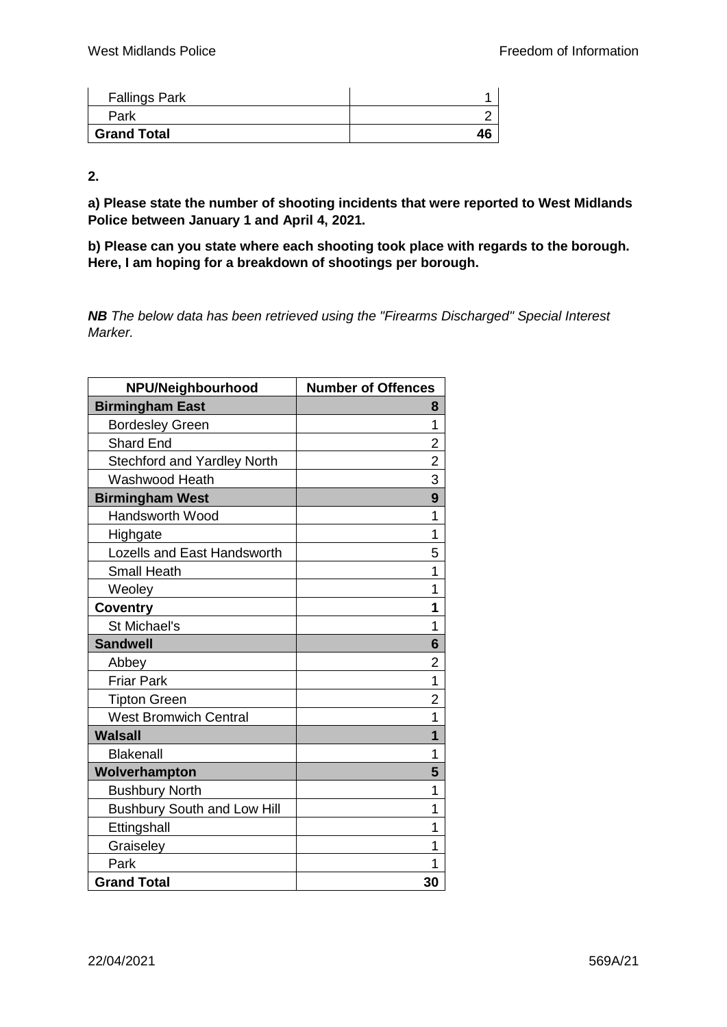| <b>Fallings Park</b> |  |
|----------------------|--|
| Park                 |  |
| <b>Grand Total</b>   |  |

**2.**

**a) Please state the number of shooting incidents that were reported to West Midlands Police between January 1 and April 4, 2021.**

**b) Please can you state where each shooting took place with regards to the borough. Here, I am hoping for a breakdown of shootings per borough.**

*NB The below data has been retrieved using the "Firearms Discharged" Special Interest Marker.*

| NPU/Neighbourhood                  | <b>Number of Offences</b> |
|------------------------------------|---------------------------|
| <b>Birmingham East</b>             | 8                         |
| <b>Bordesley Green</b>             | 1                         |
| <b>Shard End</b>                   | $\overline{2}$            |
| <b>Stechford and Yardley North</b> | $\overline{c}$            |
| Washwood Heath                     | 3                         |
| <b>Birmingham West</b>             | 9                         |
| <b>Handsworth Wood</b>             | 1                         |
| Highgate                           | 1                         |
| <b>Lozells and East Handsworth</b> | 5                         |
| <b>Small Heath</b>                 | 1                         |
| Weoley                             | 1                         |
| Coventry                           | 1                         |
| St Michael's                       | 1                         |
| <b>Sandwell</b>                    | 6                         |
| Abbey                              | 2                         |
| <b>Friar Park</b>                  | 1                         |
| <b>Tipton Green</b>                | $\overline{2}$            |
| <b>West Bromwich Central</b>       | 1                         |
| <b>Walsall</b>                     | 1                         |
| <b>Blakenall</b>                   | 1                         |
| Wolverhampton                      | 5                         |
| <b>Bushbury North</b>              | 1                         |
| <b>Bushbury South and Low Hill</b> | 1                         |
| Ettingshall                        | 1                         |
| Graiseley                          | 1                         |
| Park                               |                           |
| <b>Grand Total</b>                 | 30                        |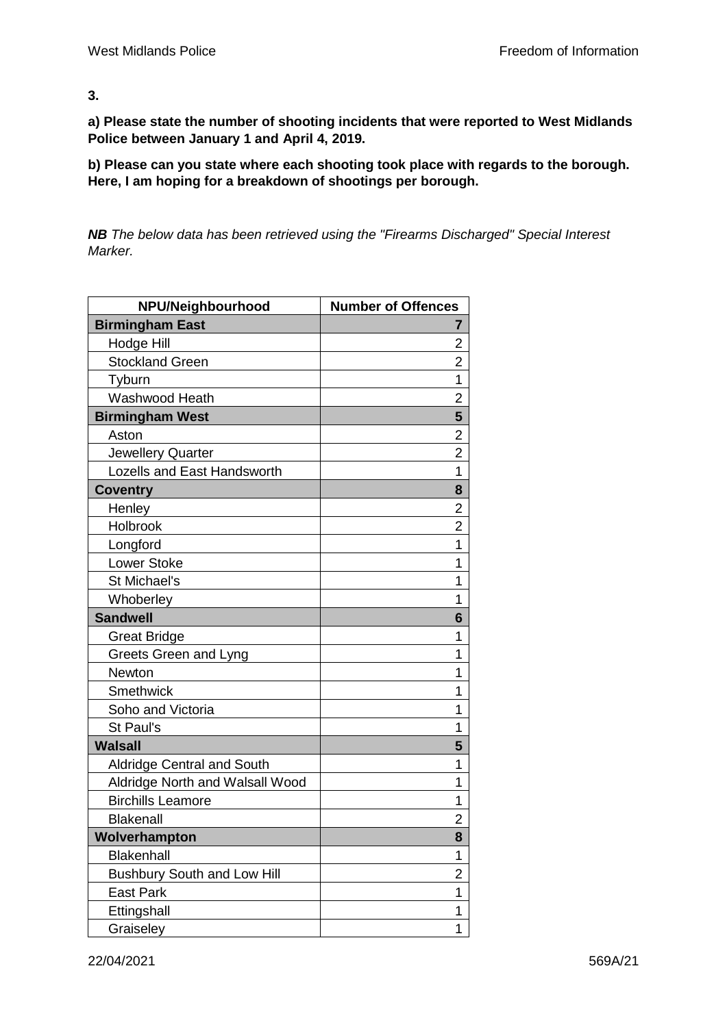**3.**

**a) Please state the number of shooting incidents that were reported to West Midlands Police between January 1 and April 4, 2019.**

**b) Please can you state where each shooting took place with regards to the borough. Here, I am hoping for a breakdown of shootings per borough.**

*NB The below data has been retrieved using the "Firearms Discharged" Special Interest Marker.*

| NPU/Neighbourhood                  | <b>Number of Offences</b> |
|------------------------------------|---------------------------|
| <b>Birmingham East</b>             | 7                         |
| Hodge Hill                         | 2                         |
| <b>Stockland Green</b>             | $\overline{2}$            |
| Tyburn                             | 1                         |
| Washwood Heath                     | 2                         |
| <b>Birmingham West</b>             | 5                         |
| Aston                              | 2                         |
| Jewellery Quarter                  | 2                         |
| <b>Lozells and East Handsworth</b> | 1                         |
| <b>Coventry</b>                    | 8                         |
| Henley                             | 2                         |
| Holbrook                           | 2                         |
| Longford                           | 1                         |
| <b>Lower Stoke</b>                 | 1                         |
| St Michael's                       | 1                         |
| Whoberley                          | 1                         |
| <b>Sandwell</b>                    | 6                         |
| <b>Great Bridge</b>                | 1                         |
| Greets Green and Lyng              | 1                         |
| Newton                             | 1                         |
| Smethwick                          | 1                         |
| Soho and Victoria                  | 1                         |
| St Paul's                          | 1                         |
| <b>Walsall</b>                     | 5                         |
| <b>Aldridge Central and South</b>  | 1                         |
| Aldridge North and Walsall Wood    | 1                         |
| <b>Birchills Leamore</b>           | 1                         |
| <b>Blakenall</b>                   | 2                         |
| Wolverhampton                      | 8                         |
| <b>Blakenhall</b>                  | 1                         |
| <b>Bushbury South and Low Hill</b> | 2                         |
| <b>East Park</b>                   | 1                         |
| Ettingshall                        | 1                         |
| Graiseley                          | 1                         |